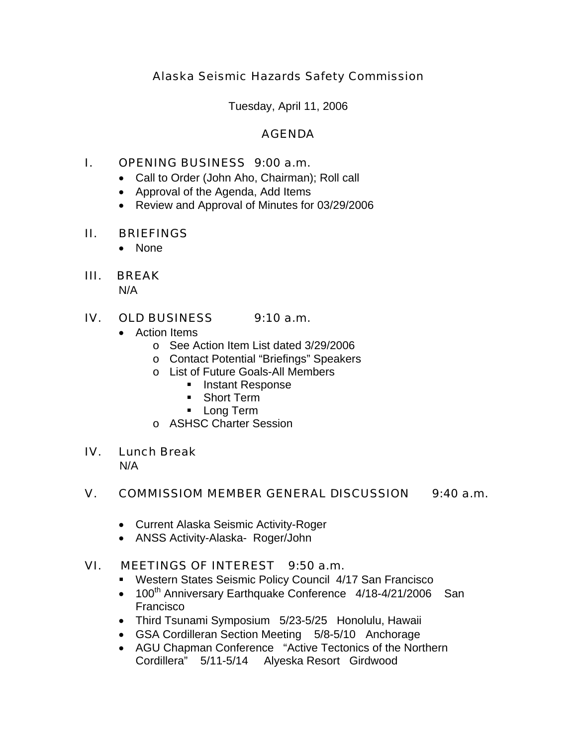# Alaska Seismic Hazards Safety Commission

Tuesday, April 11, 2006

# AGENDA

# I. OPENING BUSINESS 9:00 a.m.

- Call to Order (John Aho, Chairman); Roll call
- Approval of the Agenda, Add Items
- Review and Approval of Minutes for 03/29/2006

### II. BRIEFINGS

• None

# III. BREAK

N/A

### IV. OLD BUSINESS 9:10 a.m.

- Action Items
	- o See Action Item List dated 3/29/2006
	- o Contact Potential "Briefings" Speakers
	- o List of Future Goals-All Members
		- **Instant Response**
		- **Short Term**
		- **Long Term**
	- o ASHSC Charter Session

#### IV. Lunch Break

N/A

# V. COMMISSIOM MEMBER GENERAL DISCUSSION 9:40 a.m.

- Current Alaska Seismic Activity-Roger
- ANSS Activity-Alaska- Roger/John

# VI. MEETINGS OF INTEREST 9:50 a.m.

- Western States Seismic Policy Council 4/17 San Francisco
- 100<sup>th</sup> Anniversary Earthquake Conference  $4/18-4/21/2006$  San Francisco
- Third Tsunami Symposium 5/23-5/25 Honolulu, Hawaii
- GSA Cordilleran Section Meeting 5/8-5/10 Anchorage
- AGU Chapman Conference "Active Tectonics of the Northern Cordillera" 5/11-5/14 Alyeska Resort Girdwood